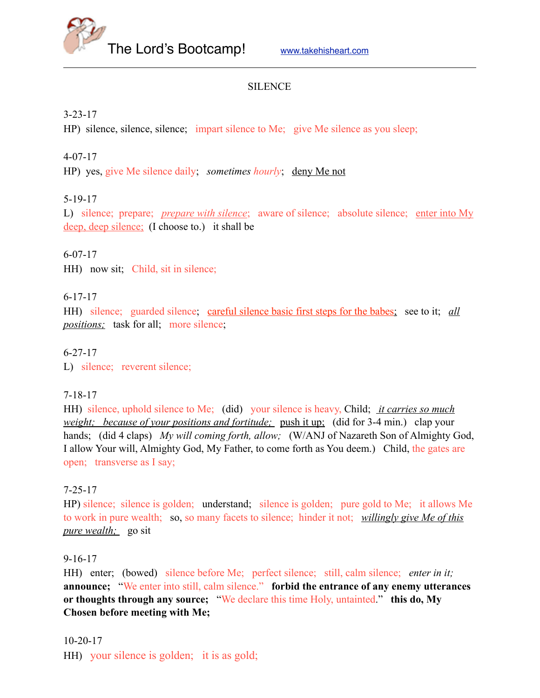

### SILENCE

### 3-23-17

HP) silence, silence, silence; impart silence to Me; give Me silence as you sleep;

### 4-07-17

HP) yes, give Me silence daily; *sometimes hourly*; deny Me not

## 5-19-17

L) silence; prepare; *prepare with silence*; aware of silence; absolute silence; enter into My deep, deep silence; (I choose to.) it shall be

### 6-07-17

HH) now sit; Child, sit in silence;

### 6-17-17

HH) silence; guarded silence; careful silence basic first steps for the babes; see to it; *all positions;* task for all; more silence;

6-27-17

L) silence; reverent silence;

### 7-18-17

HH) silence, uphold silence to Me; (did) your silence is heavy, Child; *it carries so much weight; because of your positions and fortitude;* push it up; (did for 3-4 min.) clap your hands; (did 4 claps) *My will coming forth, allow;* (W/ANJ of Nazareth Son of Almighty God, I allow Your will, Almighty God, My Father, to come forth as You deem.) Child, the gates are open; transverse as I say;

## 7-25-17

HP) silence; silence is golden; understand; silence is golden; pure gold to Me; it allows Me to work in pure wealth; so, so many facets to silence; hinder it not; *willingly give Me of this pure wealth;* go sit

### 9-16-17

HH) enter; (bowed) silence before Me; perfect silence; still, calm silence; *enter in it;* **announce;** "We enter into still, calm silence." **forbid the entrance of any enemy utterances or thoughts through any source;** "We declare this time Holy, untainted." **this do, My Chosen before meeting with Me;**

### 10-20-17

HH) your silence is golden; it is as gold;